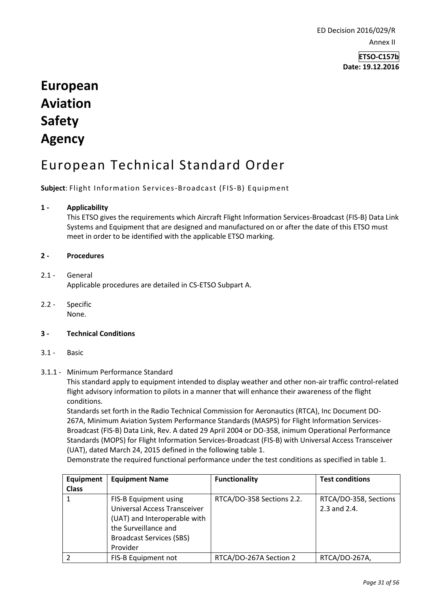ED Decision 2016/029/R Annex II

> **ETSO-C157b Date: 19.12.2016**

# **European Aviation Safety Agency**

# European Technical Standard Order

**Subject**: Flight Information Services-Broadcast (FIS-B) Equipment

## **1 - Applicability**

This ETSO gives the requirements which Aircraft Flight Information Services-Broadcast (FIS-B) Data Link Systems and Equipment that are designed and manufactured on or after the date of this ETSO must meet in order to be identified with the applicable ETSO marking.

### **2 - Procedures**

# 2.1 - General

Applicable procedures are detailed in CS-ETSO Subpart A.

2.2 - Specific None.

## **3 - Technical Conditions**

- 3.1 Basic
- 3.1.1 Minimum Performance Standard

This standard apply to equipment intended to display weather and other non-air traffic control-related flight advisory information to pilots in a manner that will enhance their awareness of the flight conditions.

Standards set forth in the Radio Technical Commission for Aeronautics (RTCA), Inc Document DO-267A, Minimum Aviation System Performance Standards (MASPS) for Flight Information Services-Broadcast (FIS-B) Data Link, Rev. A dated 29 April 2004 or DO-358, inimum Operational Performance Standards (MOPS) for Flight Information Services-Broadcast (FIS-B) with Universal Access Transceiver (UAT), dated March 24, 2015 defined in the following table 1.

Demonstrate the required functional performance under the test conditions as specified in table 1.

| Equipment<br><b>Class</b> | <b>Equipment Name</b>                                                                                                                                               | <b>Functionality</b>      | <b>Test conditions</b>                |
|---------------------------|---------------------------------------------------------------------------------------------------------------------------------------------------------------------|---------------------------|---------------------------------------|
|                           | FIS-B Equipment using<br><b>Universal Access Transceiver</b><br>(UAT) and Interoperable with<br>the Surveillance and<br><b>Broadcast Services (SBS)</b><br>Provider | RTCA/DO-358 Sections 2.2. | RTCA/DO-358, Sections<br>2.3 and 2.4. |
|                           | FIS-B Equipment not                                                                                                                                                 | RTCA/DO-267A Section 2    | RTCA/DO-267A,                         |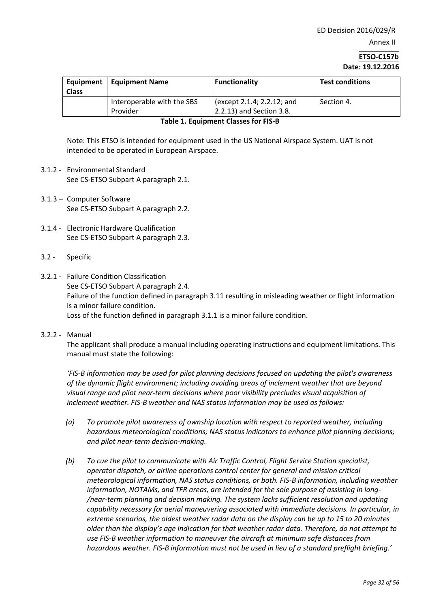# **ETSO-C157b Date: 19.12.2016**

| Equipment<br><b>Class</b> | <b>Equipment Name</b>                  | <b>Functionality</b>                                   | <b>Test conditions</b> |
|---------------------------|----------------------------------------|--------------------------------------------------------|------------------------|
|                           | Interoperable with the SBS<br>Provider | (except 2.1.4; 2.2.12; and<br>2.2.13) and Section 3.8. | Section 4.             |

#### **Table 1. Equipment Classes for FIS-B**

Note: This ETSO is intended for equipment used in the US National Airspace System. UAT is not intended to be operated in European Airspace.

- 3.1.2 Environmental Standard See CS-ETSO Subpart A paragraph 2.1.
- 3.1.3 Computer Software See CS-ETSO Subpart A paragraph 2.2.
- 3.1.4 Electronic Hardware Qualification See CS-ETSO Subpart A paragraph 2.3.
- 3.2 Specific
- 3.2.1 Failure Condition Classification See CS-ETSO Subpart A paragraph 2.4. Failure of the function defined in paragraph 3.11 resulting in misleading weather or flight information is a minor failure condition. Loss of the function defined in paragraph 3.1.1 is a minor failure condition.

### 3.2.2 - Manual

The applicant shall produce a manual including operating instructions and equipment limitations. This manual must state the following:

*'FIS-B information may be used for pilot planning decisions focused on updating the pilot's awareness of the dynamic flight environment; including avoiding areas of inclement weather that are beyond visual range and pilot near-term decisions where poor visibility precludes visual acquisition of inclement weather. FIS-B weather and NAS status information may be used as follows:* 

- *(a) To promote pilot awareness of ownship location with respect to reported weather, including hazardous meteorological conditions; NAS status indicators to enhance pilot planning decisions; and pilot near-term decision-making.*
- *(b) To cue the pilot to communicate with Air Traffic Control, Flight Service Station specialist, operator dispatch, or airline operations control center for general and mission critical meteorological information, NAS status conditions, or both. FIS-B information, including weather information, NOTAMs, and TFR areas, are intended for the sole purpose of assisting in long- /near-term planning and decision making. The system lacks sufficient resolution and updating capability necessary for aerial maneuvering associated with immediate decisions. In particular, in extreme scenarios, the oldest weather radar data on the display can be up to 15 to 20 minutes older than the display's age indication for that weather radar data. Therefore, do not attempt to use FIS-B weather information to maneuver the aircraft at minimum safe distances from hazardous weather. FIS-B information must not be used in lieu of a standard preflight briefing.'*